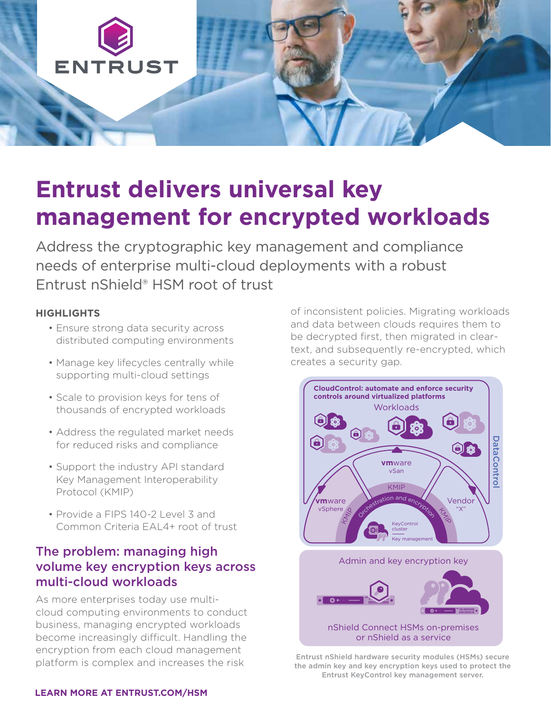

# **Entrust delivers universal key management for encrypted workloads**

Address the cryptographic key management and compliance needs of enterprise multi-cloud deployments with a robust Entrust nShield® HSM root of trust

#### **HIGHLIGHTS**

- Ensure strong data security across distributed computing environments
- Manage key lifecycles centrally while supporting multi-cloud settings
- Scale to provision keys for tens of thousands of encrypted workloads
- Address the regulated market needs for reduced risks and compliance
- Support the industry API standard Key Management Interoperability Protocol (KMIP)
- Provide a FIPS 140-2 Level 3 and Common Criteria EAL4+ root of trust

## The problem: managing high volume key encryption keys across multi-cloud workloads

As more enterprises today use multicloud computing environments to conduct business, managing encrypted workloads become increasingly difficult. Handling the encryption from each cloud management platform is complex and increases the risk

of inconsistent policies. Migrating workloads and data between clouds requires them to be decrypted first, then migrated in cleartext, and subsequently re-encrypted, which creates a security gap.



Entrust nShield hardware security modules (HSMs) secure the admin key and key encryption keys used to protect the Entrust KeyControl key management server.

#### **[LEARN MORE AT ENTRUST.COM/HSM](http://www.entrust.com/hsm)**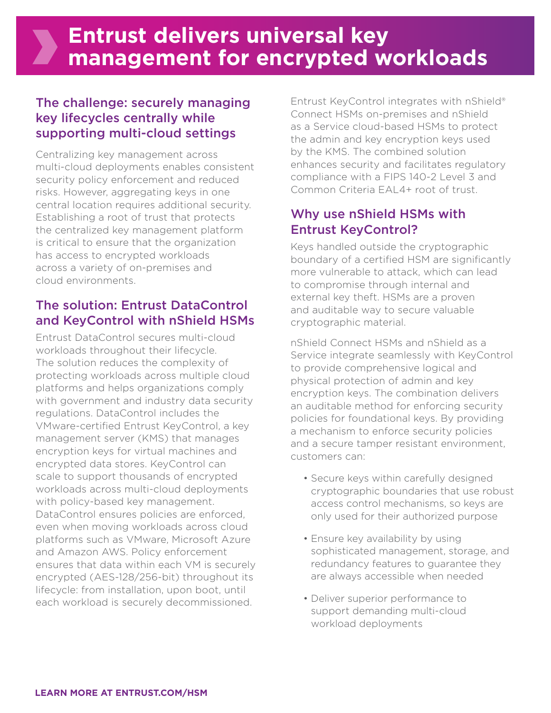## The challenge: securely managing key lifecycles centrally while supporting multi-cloud settings

Centralizing key management across multi-cloud deployments enables consistent security policy enforcement and reduced risks. However, aggregating keys in one central location requires additional security. Establishing a root of trust that protects the centralized key management platform is critical to ensure that the organization has access to encrypted workloads across a variety of on-premises and cloud environments.

## The solution: Entrust DataControl and KeyControl with nShield HSMs

Entrust DataControl secures multi-cloud workloads throughout their lifecycle. The solution reduces the complexity of protecting workloads across multiple cloud platforms and helps organizations comply with government and industry data security regulations. DataControl includes the VMware-certified Entrust KeyControl, a key management server (KMS) that manages encryption keys for virtual machines and encrypted data stores. KeyControl can scale to support thousands of encrypted workloads across multi-cloud deployments with policy-based key management. DataControl ensures policies are enforced, even when moving workloads across cloud platforms such as VMware, Microsoft Azure and Amazon AWS. Policy enforcement ensures that data within each VM is securely encrypted (AES-128/256-bit) throughout its lifecycle: from installation, upon boot, until each workload is securely decommissioned.

Entrust KeyControl integrates with nShield® Connect HSMs on-premises and nShield as a Service cloud-based HSMs to protect the admin and key encryption keys used by the KMS. The combined solution enhances security and facilitates regulatory compliance with a FIPS 140-2 Level 3 and Common Criteria EAL4+ root of trust.

#### Why use nShield HSMs with Entrust KeyControl?

Keys handled outside the cryptographic boundary of a certified HSM are significantly more vulnerable to attack, which can lead to compromise through internal and external key theft. HSMs are a proven and auditable way to secure valuable cryptographic material.

nShield Connect HSMs and nShield as a Service integrate seamlessly with KeyControl to provide comprehensive logical and physical protection of admin and key encryption keys. The combination delivers an auditable method for enforcing security policies for foundational keys. By providing a mechanism to enforce security policies and a secure tamper resistant environment, customers can:

- Secure keys within carefully designed cryptographic boundaries that use robust access control mechanisms, so keys are only used for their authorized purpose
- Ensure key availability by using sophisticated management, storage, and redundancy features to guarantee they are always accessible when needed
- Deliver superior performance to support demanding multi-cloud workload deployments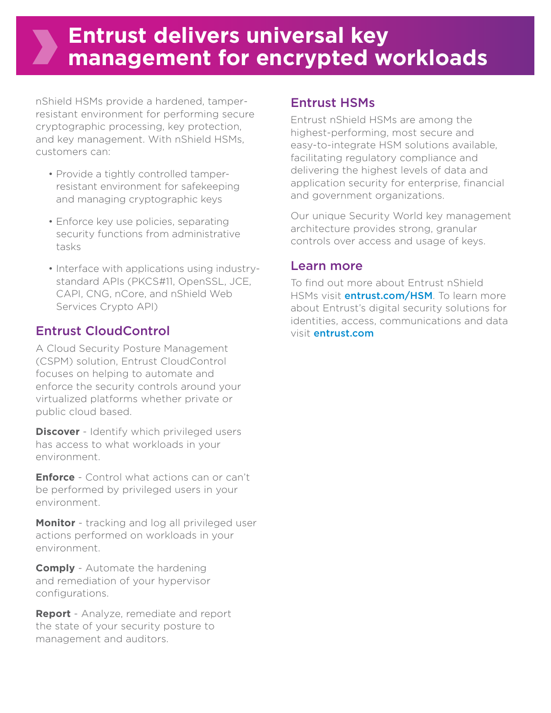## **Entrust delivers universal key management for encrypted workloads**

nShield HSMs provide a hardened, tamperresistant environment for performing secure cryptographic processing, key protection, and key management. With nShield HSMs, customers can:

- Provide a tightly controlled tamperresistant environment for safekeeping and managing cryptographic keys
- Enforce key use policies, separating security functions from administrative tasks
- Interface with applications using industrystandard APIs (PKCS#11, OpenSSL, JCE, CAPI, CNG, nCore, and nShield Web Services Crypto API)

#### Entrust CloudControl

A Cloud Security Posture Management (CSPM) solution, Entrust CloudControl focuses on helping to automate and enforce the security controls around your virtualized platforms whether private or public cloud based.

**Discover** - Identify which privileged users has access to what workloads in your environment.

**Enforce** - Control what actions can or can't be performed by privileged users in your environment.

**Monitor** - tracking and log all privileged user actions performed on workloads in your environment.

**Comply** - Automate the hardening and remediation of your hypervisor configurations.

**Report** - Analyze, remediate and report the state of your security posture to management and auditors.

#### Entrust HSMs

Entrust nShield HSMs are among the highest-performing, most secure and easy-to-integrate HSM solutions available, facilitating regulatory compliance and delivering the highest levels of data and application security for enterprise, financial and government organizations.

Our unique Security World key management architecture provides strong, granular controls over access and usage of keys.

#### Learn more

To find out more about Entrust nShield HSMs visit **[entrust.com/HSM](http://www.entrust.com/hsm)**. To learn more about Entrust's digital security solutions for identities, access, communications and data visit [entrust.com](http://www.entrust.com)